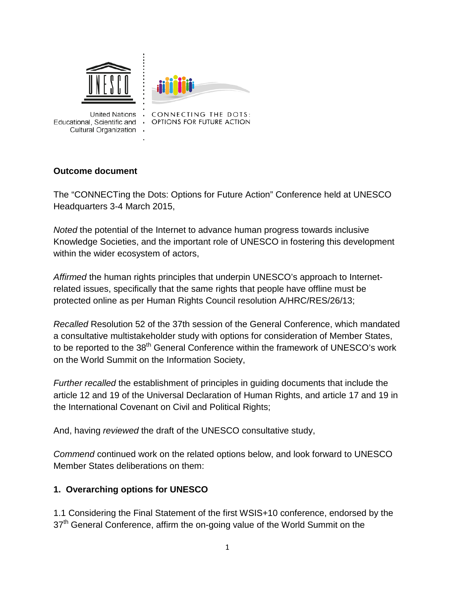

United Nations . **Cultural Organization** 

CONNECTING THE DOTS: Educational, Scientific and . OPTIONS FOR FUTURE ACTION

#### **Outcome document**

The "CONNECTing the Dots: Options for Future Action" Conference held at UNESCO Headquarters 3-4 March 2015,

*Noted* the potential of the Internet to advance human progress towards inclusive Knowledge Societies, and the important role of UNESCO in fostering this development within the wider ecosystem of actors,

*Affirmed* the human rights principles that underpin UNESCO's approach to Internetrelated issues, specifically that the same rights that people have offline must be protected online as per Human Rights Council resolution A/HRC/RES/26/13;

*Recalled* Resolution 52 of the 37th session of the General Conference, which mandated a consultative multistakeholder study with options for consideration of Member States, to be reported to the 38<sup>th</sup> General Conference within the framework of UNESCO's work on the World Summit on the Information Society,

*Further recalled* the establishment of principles in guiding documents that include the article 12 and 19 of the Universal Declaration of Human Rights, and article 17 and 19 in the International Covenant on Civil and Political Rights;

And, having *reviewed* the draft of the UNESCO consultative study,

*Commend* continued work on the related options below, and look forward to UNESCO Member States deliberations on them:

#### **1. Overarching options for UNESCO**

1.1 Considering the Final Statement of the first WSIS+10 conference, endorsed by the 37<sup>th</sup> General Conference, affirm the on-going value of the World Summit on the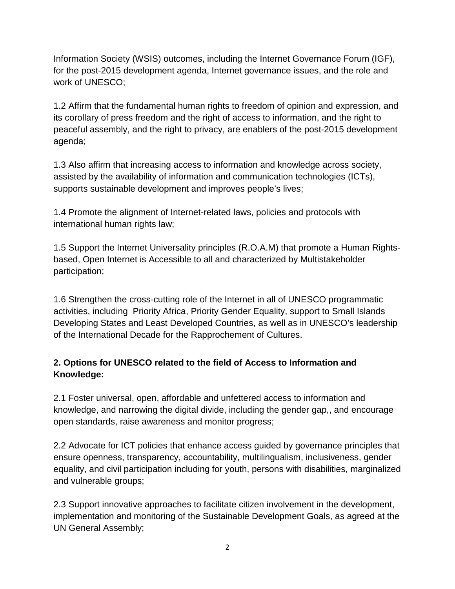Information Society (WSIS) outcomes, including the Internet Governance Forum (IGF), for the post-2015 development agenda, Internet governance issues, and the role and work of UNESCO;

1.2 Affirm that the fundamental human rights to freedom of opinion and expression, and its corollary of press freedom and the right of access to information, and the right to peaceful assembly, and the right to privacy, are enablers of the post-2015 development agenda;

1.3 Also affirm that increasing access to information and knowledge across society, assisted by the availability of information and communication technologies (ICTs), supports sustainable development and improves people's lives;

1.4 Promote the alignment of Internet-related laws, policies and protocols with international human rights law;

1.5 Support the Internet Universality principles (R.O.A.M) that promote a Human Rightsbased, Open Internet is Accessible to all and characterized by Multistakeholder participation;

1.6 Strengthen the cross-cutting role of the Internet in all of UNESCO programmatic activities, including Priority Africa, Priority Gender Equality, support to Small Islands Developing States and Least Developed Countries, as well as in UNESCO's leadership of the International Decade for the Rapprochement of Cultures.

# **2. Options for UNESCO related to the field of Access to Information and Knowledge:**

2.1 Foster universal, open, affordable and unfettered access to information and knowledge, and narrowing the digital divide, including the gender gap,, and encourage open standards, raise awareness and monitor progress;

2.2 Advocate for ICT policies that enhance access guided by governance principles that ensure openness, transparency, accountability, multilingualism, inclusiveness, gender equality, and civil participation including for youth, persons with disabilities, marginalized and vulnerable groups;

2.3 Support innovative approaches to facilitate citizen involvement in the development, implementation and monitoring of the Sustainable Development Goals, as agreed at the UN General Assembly;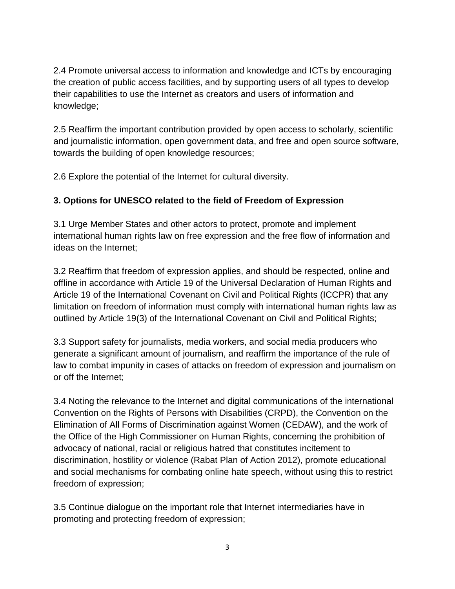2.4 Promote universal access to information and knowledge and ICTs by encouraging the creation of public access facilities, and by supporting users of all types to develop their capabilities to use the Internet as creators and users of information and knowledge;

2.5 Reaffirm the important contribution provided by open access to scholarly, scientific and journalistic information, open government data, and free and open source software, towards the building of open knowledge resources;

2.6 Explore the potential of the Internet for cultural diversity.

# **3. Options for UNESCO related to the field of Freedom of Expression**

3.1 Urge Member States and other actors to protect, promote and implement international human rights law on free expression and the free flow of information and ideas on the Internet;

3.2 Reaffirm that freedom of expression applies, and should be respected, online and offline in accordance with Article 19 of the Universal Declaration of Human Rights and Article 19 of the International Covenant on Civil and Political Rights (ICCPR) that any limitation on freedom of information must comply with international human rights law as outlined by Article 19(3) of the International Covenant on Civil and Political Rights;

3.3 Support safety for journalists, media workers, and social media producers who generate a significant amount of journalism, and reaffirm the importance of the rule of law to combat impunity in cases of attacks on freedom of expression and journalism on or off the Internet;

3.4 Noting the relevance to the Internet and digital communications of the international Convention on the Rights of Persons with Disabilities (CRPD), the Convention on the Elimination of All Forms of Discrimination against Women (CEDAW), and the work of the Office of the High Commissioner on Human Rights, concerning the prohibition of advocacy of national, racial or religious hatred that constitutes incitement to discrimination, hostility or violence (Rabat Plan of Action 2012), promote educational and social mechanisms for combating online hate speech, without using this to restrict freedom of expression;

3.5 Continue dialogue on the important role that Internet intermediaries have in promoting and protecting freedom of expression;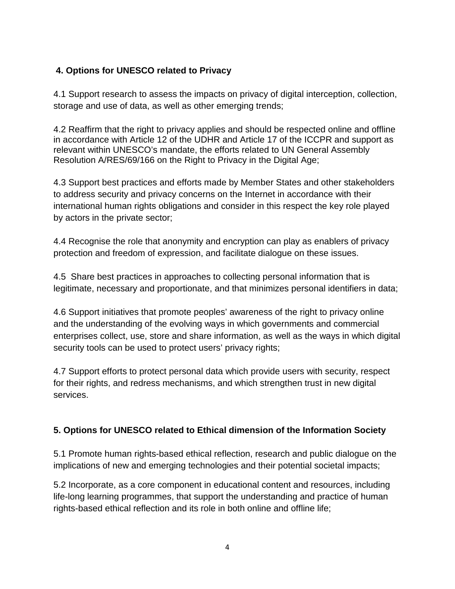# **4. Options for UNESCO related to Privacy**

4.1 Support research to assess the impacts on privacy of digital interception, collection, storage and use of data, as well as other emerging trends;

4.2 Reaffirm that the right to privacy applies and should be respected online and offline in accordance with Article 12 of the UDHR and Article 17 of the ICCPR and support as relevant within UNESCO's mandate, the efforts related to UN General Assembly Resolution A/RES/69/166 on the Right to Privacy in the Digital Age;

4.3 Support best practices and efforts made by Member States and other stakeholders to address security and privacy concerns on the Internet in accordance with their international human rights obligations and consider in this respect the key role played by actors in the private sector;

4.4 Recognise the role that anonymity and encryption can play as enablers of privacy protection and freedom of expression, and facilitate dialogue on these issues.

4.5 Share best practices in approaches to collecting personal information that is legitimate, necessary and proportionate, and that minimizes personal identifiers in data;

4.6 Support initiatives that promote peoples' awareness of the right to privacy online and the understanding of the evolving ways in which governments and commercial enterprises collect, use, store and share information, as well as the ways in which digital security tools can be used to protect users' privacy rights;

4.7 Support efforts to protect personal data which provide users with security, respect for their rights, and redress mechanisms, and which strengthen trust in new digital services.

# **5. Options for UNESCO related to Ethical dimension of the Information Society**

5.1 Promote human rights-based ethical reflection, research and public dialogue on the implications of new and emerging technologies and their potential societal impacts;

5.2 Incorporate, as a core component in educational content and resources, including life-long learning programmes, that support the understanding and practice of human rights-based ethical reflection and its role in both online and offline life;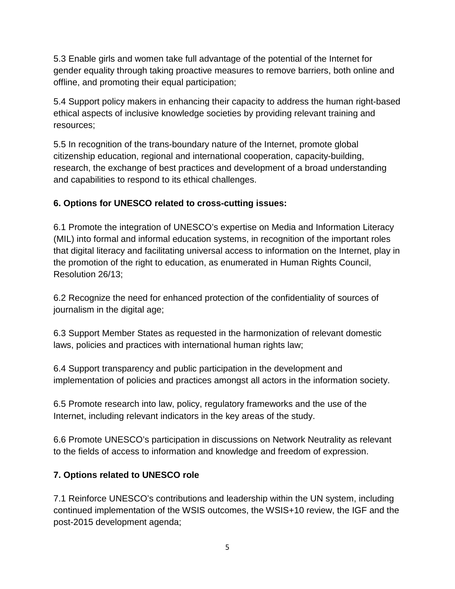5.3 Enable girls and women take full advantage of the potential of the Internet for gender equality through taking proactive measures to remove barriers, both online and offline, and promoting their equal participation;

5.4 Support policy makers in enhancing their capacity to address the human right-based ethical aspects of inclusive knowledge societies by providing relevant training and resources;

5.5 In recognition of the trans-boundary nature of the Internet, promote global citizenship education, regional and international cooperation, capacity-building, research, the exchange of best practices and development of a broad understanding and capabilities to respond to its ethical challenges.

# **6. Options for UNESCO related to cross-cutting issues:**

6.1 Promote the integration of UNESCO's expertise on Media and Information Literacy (MIL) into formal and informal education systems, in recognition of the important roles that digital literacy and facilitating universal access to information on the Internet, play in the promotion of the right to education, as enumerated in Human Rights Council, Resolution 26/13;

6.2 Recognize the need for enhanced protection of the confidentiality of sources of journalism in the digital age;

6.3 Support Member States as requested in the harmonization of relevant domestic laws, policies and practices with international human rights law;

6.4 Support transparency and public participation in the development and implementation of policies and practices amongst all actors in the information society.

6.5 Promote research into law, policy, regulatory frameworks and the use of the Internet, including relevant indicators in the key areas of the study.

6.6 Promote UNESCO's participation in discussions on Network Neutrality as relevant to the fields of access to information and knowledge and freedom of expression.

# **7. Options related to UNESCO role**

7.1 Reinforce UNESCO's contributions and leadership within the UN system, including continued implementation of the WSIS outcomes, the WSIS+10 review, the IGF and the post-2015 development agenda;